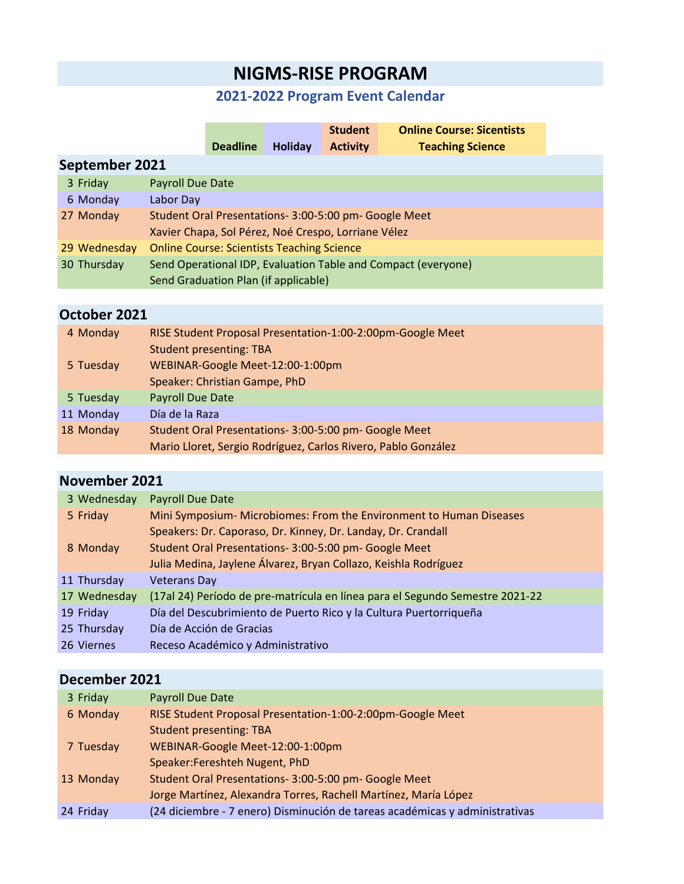# **NIGMS-RISE PROGRAM**

### **2021-2022 Program Event Calendar**

|                |                                                               |                 |                                                   | <b>Student</b>  | <b>Online Course: Sicentists</b> |  |
|----------------|---------------------------------------------------------------|-----------------|---------------------------------------------------|-----------------|----------------------------------|--|
|                |                                                               | <b>Deadline</b> | Holiday                                           | <b>Activity</b> | <b>Teaching Science</b>          |  |
| September 2021 |                                                               |                 |                                                   |                 |                                  |  |
| 3 Friday       | Payroll Due Date                                              |                 |                                                   |                 |                                  |  |
| 6 Monday       | Labor Day                                                     |                 |                                                   |                 |                                  |  |
| 27 Monday      | Student Oral Presentations- 3:00-5:00 pm- Google Meet         |                 |                                                   |                 |                                  |  |
|                | Xavier Chapa, Sol Pérez, Noé Crespo, Lorriane Vélez           |                 |                                                   |                 |                                  |  |
| 29 Wednesday   |                                                               |                 | <b>Online Course: Scientists Teaching Science</b> |                 |                                  |  |
| 30 Thursday    | Send Operational IDP, Evaluation Table and Compact (everyone) |                 |                                                   |                 |                                  |  |
|                |                                                               |                 | Send Graduation Plan (if applicable)              |                 |                                  |  |
|                |                                                               |                 |                                                   |                 |                                  |  |

## **October 2021**

| 4 Monday  | RISE Student Proposal Presentation-1:00-2:00pm-Google Meet    |
|-----------|---------------------------------------------------------------|
|           | <b>Student presenting: TBA</b>                                |
| 5 Tuesday | WEBINAR-Google Meet-12:00-1:00pm                              |
|           | Speaker: Christian Gampe, PhD                                 |
| 5 Tuesday | <b>Payroll Due Date</b>                                       |
| 11 Monday | Día de la Raza                                                |
| 18 Monday | Student Oral Presentations- 3:00-5:00 pm- Google Meet         |
|           | Mario Lloret, Sergio Rodríguez, Carlos Rivero, Pablo González |
|           |                                                               |

### **November 2021**

| 3 Wednesday  | <b>Payroll Due Date</b>                                                      |
|--------------|------------------------------------------------------------------------------|
| 5 Friday     | Mini Symposium- Microbiomes: From the Environment to Human Diseases          |
|              | Speakers: Dr. Caporaso, Dr. Kinney, Dr. Landay, Dr. Crandall                 |
| 8 Monday     | Student Oral Presentations- 3:00-5:00 pm- Google Meet                        |
|              | Julia Medina, Jaylene Álvarez, Bryan Collazo, Keishla Rodríguez              |
| 11 Thursday  | <b>Veterans Day</b>                                                          |
| 17 Wednesday | (17al 24) Período de pre-matrícula en línea para el Segundo Semestre 2021-22 |
| 19 Friday    | Día del Descubrimiento de Puerto Rico y la Cultura Puertorriqueña            |
| 25 Thursday  | Día de Acción de Gracias                                                     |
| 26 Viernes   | Receso Académico y Administrativo                                            |

## **December 2021**

| 3 Friday  | Payroll Due Date                                                            |
|-----------|-----------------------------------------------------------------------------|
| 6 Monday  | RISE Student Proposal Presentation-1:00-2:00pm-Google Meet                  |
|           | <b>Student presenting: TBA</b>                                              |
| 7 Tuesday | WEBINAR-Google Meet-12:00-1:00pm                                            |
|           | Speaker: Fereshteh Nugent, PhD                                              |
| 13 Monday | Student Oral Presentations- 3:00-5:00 pm- Google Meet                       |
|           | Jorge Martínez, Alexandra Torres, Rachell Martínez, María López             |
| 24 Friday | (24 diciembre - 7 enero) Disminución de tareas académicas y administrativas |
|           |                                                                             |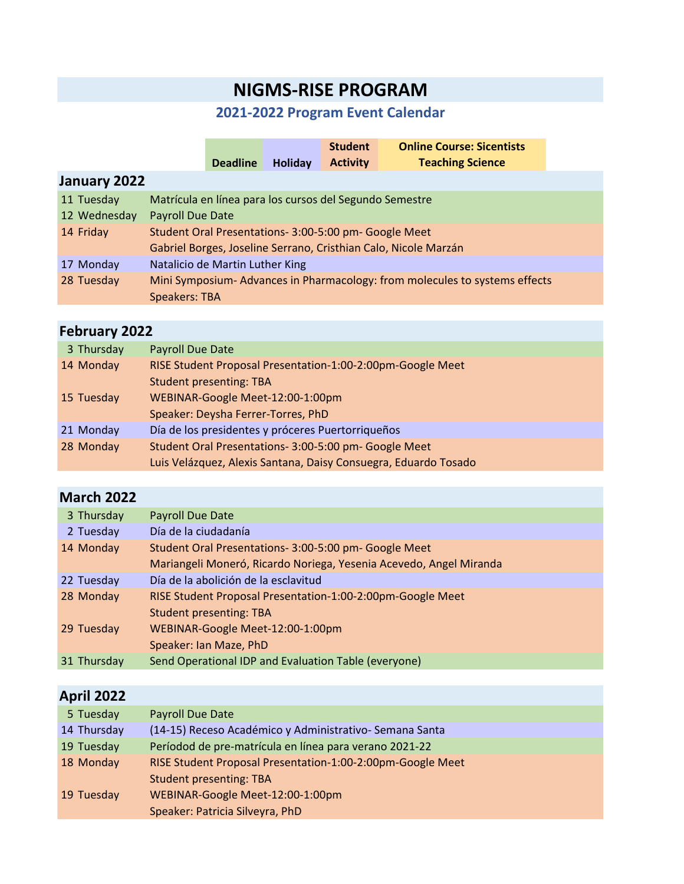# **NIGMS-RISE PROGRAM**

### **2021-2022 Program Event Calendar**

|              |                                                                            |                 |         | <b>Student</b>  | <b>Online Course: Sicentists</b> |  |
|--------------|----------------------------------------------------------------------------|-----------------|---------|-----------------|----------------------------------|--|
|              |                                                                            | <b>Deadline</b> | Holiday | <b>Activity</b> | <b>Teaching Science</b>          |  |
| January 2022 |                                                                            |                 |         |                 |                                  |  |
| 11 Tuesday   | Matrícula en línea para los cursos del Segundo Semestre                    |                 |         |                 |                                  |  |
| 12 Wednesday | Payroll Due Date                                                           |                 |         |                 |                                  |  |
| 14 Friday    | Student Oral Presentations- 3:00-5:00 pm- Google Meet                      |                 |         |                 |                                  |  |
|              | Gabriel Borges, Joseline Serrano, Cristhian Calo, Nicole Marzán            |                 |         |                 |                                  |  |
| 17 Monday    | Natalicio de Martin Luther King                                            |                 |         |                 |                                  |  |
| 28 Tuesday   | Mini Symposium-Advances in Pharmacology: from molecules to systems effects |                 |         |                 |                                  |  |
|              | <b>Speakers: TBA</b>                                                       |                 |         |                 |                                  |  |
|              |                                                                            |                 |         |                 |                                  |  |

## **February 2022**

| 3 Thursday | <b>Payroll Due Date</b>                                         |
|------------|-----------------------------------------------------------------|
| 14 Monday  | RISE Student Proposal Presentation-1:00-2:00pm-Google Meet      |
|            | <b>Student presenting: TBA</b>                                  |
| 15 Tuesday | WEBINAR-Google Meet-12:00-1:00pm                                |
|            | Speaker: Deysha Ferrer-Torres, PhD                              |
| 21 Monday  | Día de los presidentes y próceres Puertorriqueños               |
| 28 Monday  | Student Oral Presentations- 3:00-5:00 pm- Google Meet           |
|            | Luis Velázquez, Alexis Santana, Daisy Consuegra, Eduardo Tosado |
|            |                                                                 |

## **March 2022**

| 3 Thursday  | Payroll Due Date                                                   |  |  |  |  |
|-------------|--------------------------------------------------------------------|--|--|--|--|
| 2 Tuesday   | Día de la ciudadanía                                               |  |  |  |  |
| 14 Monday   | Student Oral Presentations- 3:00-5:00 pm- Google Meet              |  |  |  |  |
|             | Mariangeli Moneró, Ricardo Noriega, Yesenia Acevedo, Angel Miranda |  |  |  |  |
| 22 Tuesday  | Día de la abolición de la esclavitud                               |  |  |  |  |
| 28 Monday   | RISE Student Proposal Presentation-1:00-2:00pm-Google Meet         |  |  |  |  |
|             | <b>Student presenting: TBA</b>                                     |  |  |  |  |
| 29 Tuesday  | WEBINAR-Google Meet-12:00-1:00pm                                   |  |  |  |  |
|             | Speaker: Ian Maze, PhD                                             |  |  |  |  |
| 31 Thursday | Send Operational IDP and Evaluation Table (everyone)               |  |  |  |  |

## **April 2022**

| 5 Tuesday   | Payroll Due Date                                           |
|-------------|------------------------------------------------------------|
| 14 Thursday | (14-15) Receso Académico y Administrativo-Semana Santa     |
| 19 Tuesday  | Períodod de pre-matrícula en línea para verano 2021-22     |
| 18 Monday   | RISE Student Proposal Presentation-1:00-2:00pm-Google Meet |
|             | <b>Student presenting: TBA</b>                             |
| 19 Tuesday  | WEBINAR-Google Meet-12:00-1:00pm                           |
|             | Speaker: Patricia Silveyra, PhD                            |